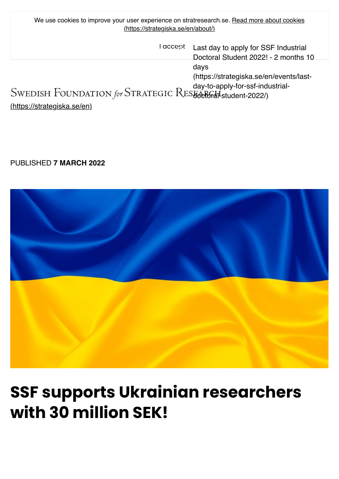| We use cookies to improve your user experience on stratresearch.se. Read more about cookies<br>(https://strategiska.se/en/about/) |                                                                                     |
|-----------------------------------------------------------------------------------------------------------------------------------|-------------------------------------------------------------------------------------|
| accept                                                                                                                            | Last day to apply for SSF Industrial<br>Doctoral Student 2022! - 2 months 10        |
| SWEDISH FOUNDATION for STRATEGIC RESEARCH student-2022/)                                                                          | days<br>(https://strategiska.se/en/events/last-<br>day-to-apply-for-ssf-industrial- |
| <u>(https://strategiska.se/en)</u>                                                                                                |                                                                                     |

## PUBLISHED **7 MARCH 2022**



## **SSF supports Ukrainian researchers with 30 million SEK!**